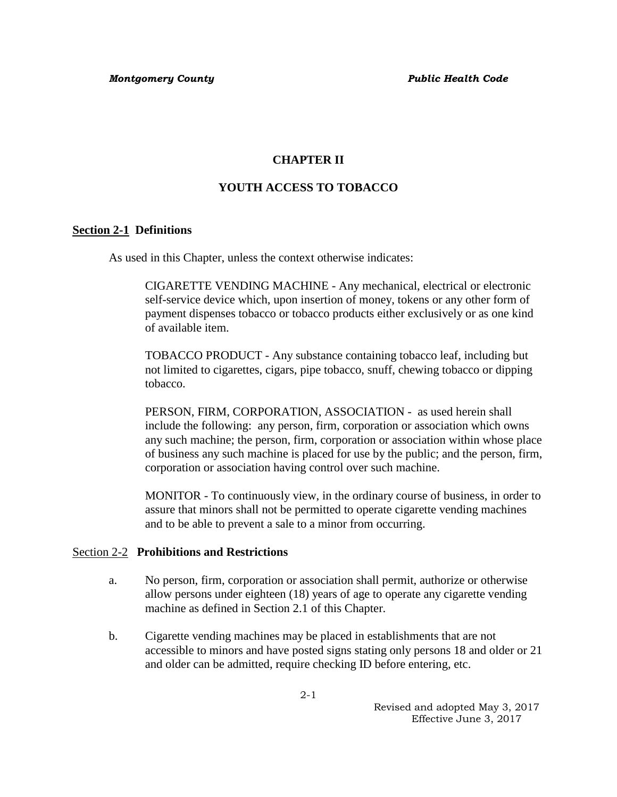## **CHAPTER II**

# **YOUTH ACCESS TO TOBACCO**

### **Section 2-1 Definitions**

As used in this Chapter, unless the context otherwise indicates:

CIGARETTE VENDING MACHINE - Any mechanical, electrical or electronic self-service device which, upon insertion of money, tokens or any other form of payment dispenses tobacco or tobacco products either exclusively or as one kind of available item.

TOBACCO PRODUCT - Any substance containing tobacco leaf, including but not limited to cigarettes, cigars, pipe tobacco, snuff, chewing tobacco or dipping tobacco.

PERSON, FIRM, CORPORATION, ASSOCIATION - as used herein shall include the following: any person, firm, corporation or association which owns any such machine; the person, firm, corporation or association within whose place of business any such machine is placed for use by the public; and the person, firm, corporation or association having control over such machine.

MONITOR - To continuously view, in the ordinary course of business, in order to assure that minors shall not be permitted to operate cigarette vending machines and to be able to prevent a sale to a minor from occurring.

#### Section 2-2 **Prohibitions and Restrictions**

- a. No person, firm, corporation or association shall permit, authorize or otherwise allow persons under eighteen (18) years of age to operate any cigarette vending machine as defined in Section 2.1 of this Chapter.
- b. Cigarette vending machines may be placed in establishments that are not accessible to minors and have posted signs stating only persons 18 and older or 21 and older can be admitted, require checking ID before entering, etc.

 Revised and adopted May 3, 2017 Effective June 3, 2017